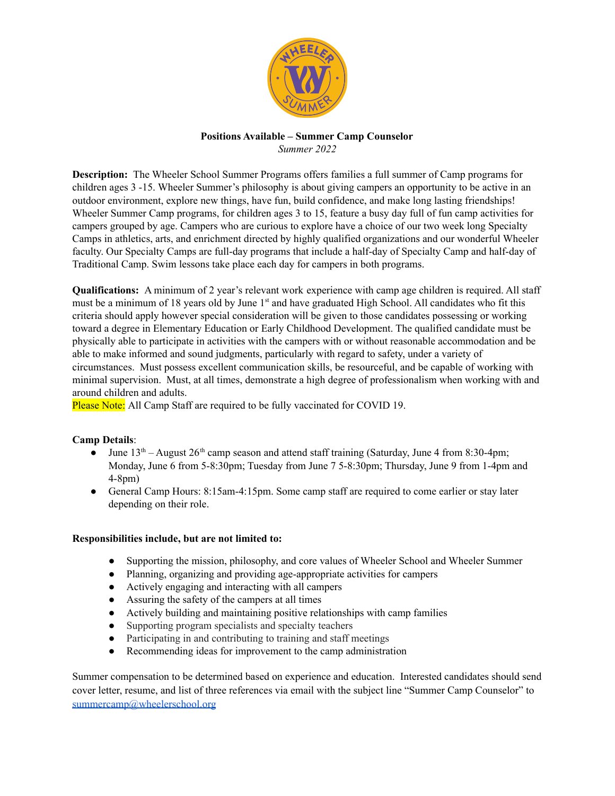

## **Positions Available – Summer Camp Counselor** *Summer 2022*

**Description:** The Wheeler School Summer Programs offers families a full summer of Camp programs for children ages 3 -15. Wheeler Summer's philosophy is about giving campers an opportunity to be active in an outdoor environment, explore new things, have fun, build confidence, and make long lasting friendships! Wheeler Summer Camp programs, for children ages 3 to 15, feature a busy day full of fun camp activities for campers grouped by age. Campers who are curious to explore have a choice of our two week long Specialty Camps in athletics, arts, and enrichment directed by highly qualified organizations and our wonderful Wheeler faculty. Our Specialty Camps are full-day programs that include a half-day of Specialty Camp and half-day of Traditional Camp. Swim lessons take place each day for campers in both programs.

**Qualifications:** A minimum of 2 year's relevant work experience with camp age children is required. All staff must be a minimum of 18 years old by June 1<sup>st</sup> and have graduated High School. All candidates who fit this criteria should apply however special consideration will be given to those candidates possessing or working toward a degree in Elementary Education or Early Childhood Development. The qualified candidate must be physically able to participate in activities with the campers with or without reasonable accommodation and be able to make informed and sound judgments, particularly with regard to safety, under a variety of circumstances. Must possess excellent communication skills, be resourceful, and be capable of working with minimal supervision. Must, at all times, demonstrate a high degree of professionalism when working with and around children and adults.

Please Note: All Camp Staff are required to be fully vaccinated for COVID 19.

## **Camp Details**:

- June  $13<sup>th</sup>$  August  $26<sup>th</sup>$  camp season and attend staff training (Saturday, June 4 from 8:30-4pm; Monday, June 6 from 5-8:30pm; Tuesday from June 7 5-8:30pm; Thursday, June 9 from 1-4pm and 4-8pm)
- General Camp Hours: 8:15am-4:15pm. Some camp staff are required to come earlier or stay later depending on their role.

## **Responsibilities include, but are not limited to:**

- Supporting the mission, philosophy, and core values of Wheeler School and Wheeler Summer
- Planning, organizing and providing age-appropriate activities for campers
- Actively engaging and interacting with all campers
- Assuring the safety of the campers at all times
- Actively building and maintaining positive relationships with camp families
- Supporting program specialists and specialty teachers
- Participating in and contributing to training and staff meetings
- Recommending ideas for improvement to the camp administration

Summer compensation to be determined based on experience and education. Interested candidates should send cover letter, resume, and list of three references via email with the subject line "Summer Camp Counselor" to [summercamp@wheelerschool.org](mailto:summer@wheelerschool.org)